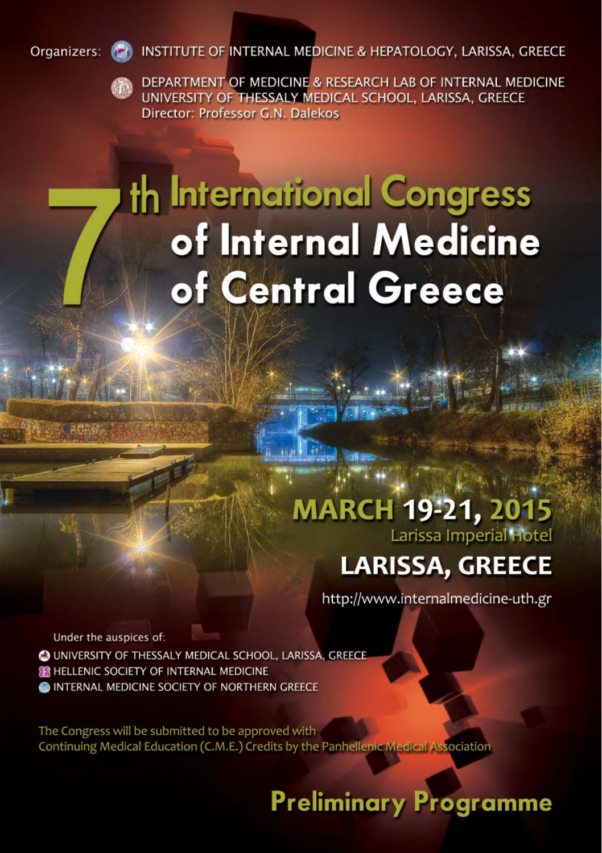INSTITUTE OF INTERNAL MEDICINE & HEPATOLOGY, LARISSA, GREECE Organizers:



DEPARTMENT OF MEDICINE & RESEARCH LAB OF INTERNAL MEDICINE UNIVERSITY OF THESSALY MEDICAL SCHOOL, LARISSA, GREECE Director: Professor G.N. Dalekos

# th International Congress of Internal Medicine of Central Greece

### **MARCH 19-21, 2015** Larissa Imperial Hotel

## **LARISSA, GREECE**

http://www.internalmedicine-uth.gr

Under the auspices of: O UNIVERSITY OF THESSALY MEDICAL SCHOOL, LARISSA, GREECE **SE HELLENIC SOCIETY OF INTERNAL MEDICINE** INTERNAL MEDICINE SOCIETY OF NORTHERN GREECE

The Congress will be submitted to be approved with Continuing Medical Education (C.M.E.) Credits by the Panhellenic Medical Association

## **Preliminary Programme**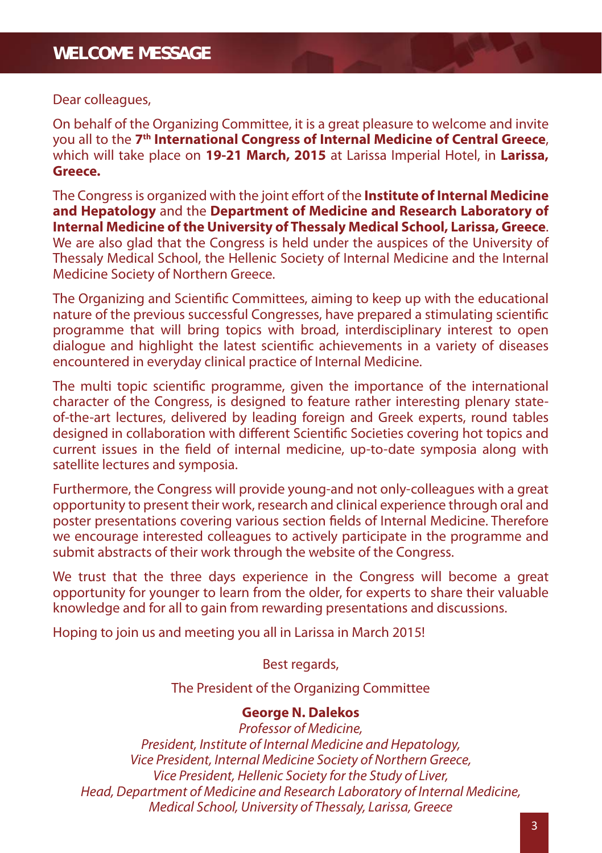#### Dear colleagues,

On behalf of the Organizing Committee, it is a great pleasure to welcome and invite you all to the **7th International Congress of Internal Medicine of Central Greece**, which will take place on **19-21 March, 2015** at Larissa Imperial Hotel, in **Larissa, Greece.**

The Congress is organized with the joint effort of the **Institute of Internal Medicine and Hepatology** and the **Department of Medicine and Research Laboratory of Internal Medicine of the University of Thessaly Medical School, Larissa, Greece**. We are also glad that the Congress is held under the auspices of the University of Thessaly Medical School, the Hellenic Society of Internal Medicine and the Internal Medicine Society of Northern Greece.

The Organizing and Scientific Committees, aiming to keep up with the educational nature of the previous successful Congresses, have prepared a stimulating scientific programme that will bring topics with broad, interdisciplinary interest to open dialogue and highlight the latest scientific achievements in a variety of diseases encountered in everyday clinical practice of Internal Medicine.

The multi topic scientific programme, given the importance of the international character of the Congress, is designed to feature rather interesting plenary stateof-the-art lectures, delivered by leading foreign and Greek experts, round tables designed in collaboration with different Scientific Societies covering hot topics and current issues in the field of internal medicine, up-to-date symposia along with satellite lectures and symposia.

Furthermore, the Congress will provide young-and not only-colleagues with a great opportunity to present their work, research and clinical experience through oral and poster presentations covering various section fields of Internal Medicine. Therefore we encourage interested colleagues to actively participate in the programme and submit abstracts of their work through the website of the Congress.

We trust that the three days experience in the Congress will become a great opportunity for younger to learn from the older, for experts to share their valuable knowledge and for all to gain from rewarding presentations and discussions.

Hoping to join us and meeting you all in Larissa in March 2015!

#### Best regards,

The President of the Organizing Committee

#### **George N. Dalekos**

Professor of Medicine, President, Institute of Internal Medicine and Hepatology, Vice President, Internal Medicine Society of Northern Greece, Vice President, Hellenic Society for the Study of Liver, Head, Department of Medicine and Research Laboratory of Internal Medicine, Medical School, University of Thessaly, Larissa, Greece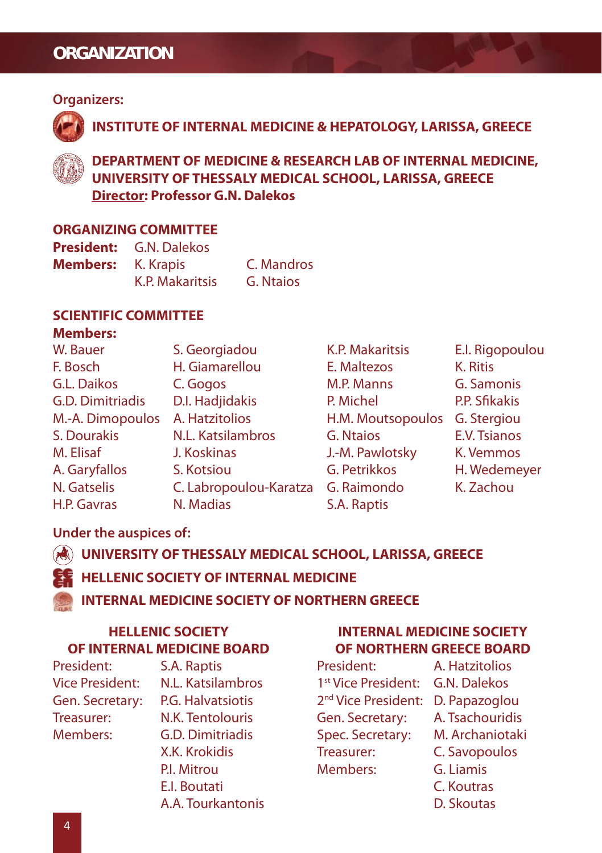#### **ORGANIZATION**

#### **Organizers:**



**INSTITUTE OF INTERNAL MEDICINE & HEPATOLOGY, LARISSA, GREECE**



**DEPARTMENT OF MEDICINE & RESEARCH LAB OF INTERNAL MEDICINE, UNIVERSITY OF THESSALY MEDICAL SCHOOL, LARISSA, GREECE Director: Professor G.N. Dalekos**

#### **ORGANIZING COMMITTEE**

| <b>President:</b> | G.N. Dalekos           |            |
|-------------------|------------------------|------------|
| <b>Members:</b>   | K. Krapis              | C. Mandros |
|                   | <b>K.P. Makaritsis</b> | G. Ntaios  |

#### **SCIENTIFIC COMMITTEE**

#### **Members:**

| W. Bauer         | S. Georgiadou          | K.P. Makaritsis   | E.I. Rigopoulou |
|------------------|------------------------|-------------------|-----------------|
| F. Bosch         | H. Giamarellou         | E. Maltezos       | K. Ritis        |
| G.L. Daikos      | C. Gogos               | M.P. Manns        | G. Samonis      |
| G.D. Dimitriadis | D.I. Hadjidakis        | P. Michel         | P.P. Sfikakis   |
| M.-A. Dimopoulos | A. Hatzitolios         | H.M. Moutsopoulos | G. Stergiou     |
| S. Dourakis      | N.L. Katsilambros      | G. Ntaios         | E.V. Tsianos    |
| M. Elisaf        | J. Koskinas            | J.-M. Pawlotsky   | K. Vemmos       |
| A. Garyfallos    | S. Kotsiou             | G. Petrikkos      | H. Wedemeyer    |
| N. Gatselis      | C. Labropoulou-Karatza | G. Raimondo       | K. Zachou       |
| H.P. Gavras      | N. Madias              | S.A. Raptis       |                 |

#### **Under the auspices of:**

#### **UNIVERSITY OF THESSALY MEDICAL SCHOOL, LARISSA, GREECE**

#### **HELLENIC SOCIETY OF INTERNAL MEDICINE**

#### **INTERNAL MEDICINE SOCIETY OF NORTHERN GREECE**

#### **HELLENIC SOCIETY OF INTERNAL MEDICINE BOARD**

President: S.A. Raptis Gen. Secretary: P.G. Halvatsiotis Treasurer: N.K. Tentolouris Members: G.D. Dimitriadis

Vice President: N.L. Katsilambros X.K. Krokidis PI. Mitrou E.I. Boutati A.A. Tourkantonis

#### **INTERNAL MEDICINE SOCIETY OF NORTHERN GREECE BOARD**

| President:                      | A. Hatzitolios      |
|---------------------------------|---------------------|
| 1 <sup>st</sup> Vice President: | <b>G.N. Dalekos</b> |
| 2 <sup>nd</sup> Vice President: | D. Papazoglou       |
| Gen. Secretary:                 | A. Tsachouridis     |
| Spec. Secretary:                | M. Archaniotaki     |
| Treasurer:                      | C. Savopoulos       |
| Members:                        | G. Liamis           |
|                                 | C. Koutras          |
|                                 | D. Skoutas          |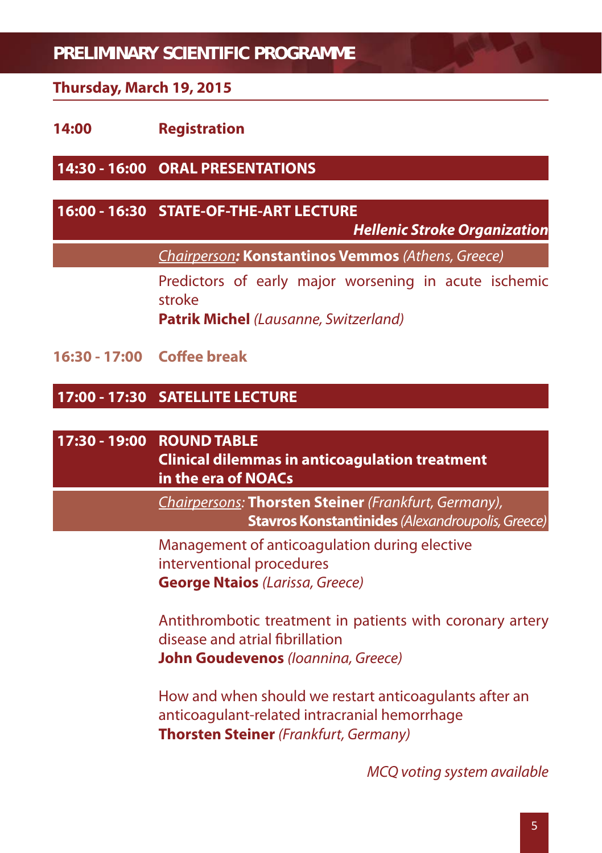#### **Thursday, March 19, 2015**

#### **14:00 Registration**

**14:30 - 16:00 ORAL PRESENTATIONS**

#### **16:00 - 16:30 STATE-OF-THE-ART LECTURE**

*Hellenic Stroke Organization*

Chairperson*:* **Konstantinos Vemmos** (Athens, Greece)

 Predictors of early major worsening in acute ischemic stroke

**Patrik Michel** (Lausanne, Switzerland)

**16:30 - 17:00 Coff ee break**

#### **17:00 - 17:30 SATELLITE LECTURE**

#### **17:30 - 19:00 ROUND TABLE**

 **Clinical dilemmas in anticoagulation treatment in the era of NOACs**

Chairpersons: **Thorsten Steiner** (Frankfurt, Germany),  **Stavros Konstantinides** (Alexandroupolis, Greece)

 Management of anticoagulation during elective interventional procedures **George Ntaios** (Larissa, Greece)

 Antithrombotic treatment in patients with coronary artery disease and atrial fibrillation **John Goudevenos** (Ioannina, Greece)

 How and when should we restart anticoagulants after an anticoagulant-related intracranial hemorrhage **Thorsten Steiner** (Frankfurt, Germany)

MCQ voting system available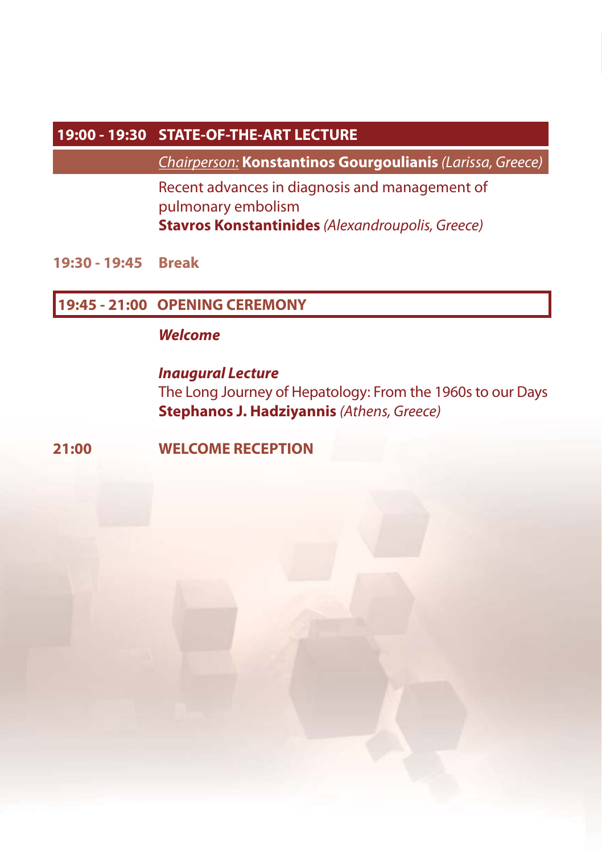#### **19:00 - 19:30 STATE-OF-THE-ART LECTURE**

Chairperson: **Konstantinos Gourgoulianis** (Larissa, Greece)

Recent advances in diagnosis and management of pulmonary embolism  **Stavros Konstantinides** (Alexandroupolis, Greece)

**19:30 - 19:45 Break**

#### **19:45 - 21:00 OPENING CEREMONY**

#### **Welcome**

**The Long Journey of Hepatology: From the 1960s to our Days Stephanos J. Hadziyannis (Athens, Greece)** 

#### **21:00 WELCOME RECEPTION**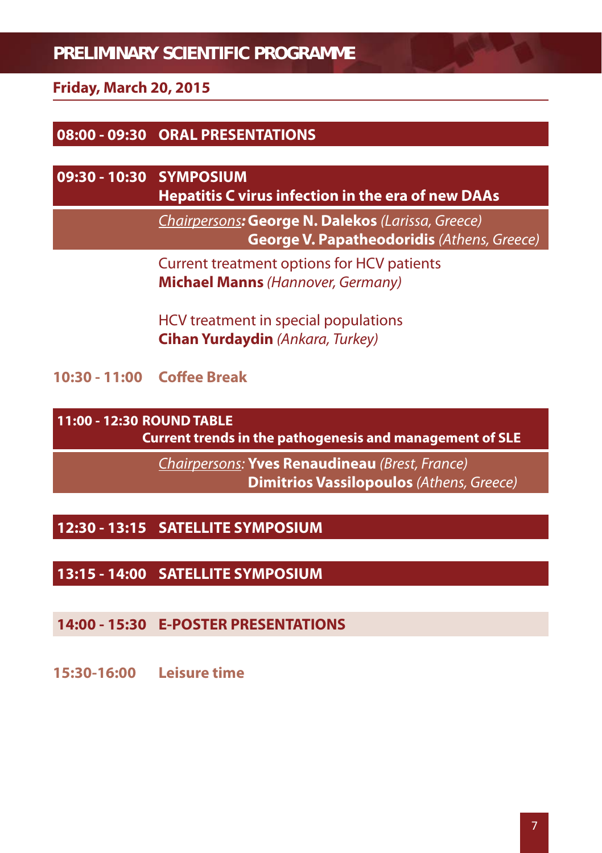#### **Friday, March 20, 2015**

#### **08:00 - 09:30 ORAL PRESENTATIONS**

### **09:30 - 10:30 SYMPOSIUM Hepatitis C virus infection in the era of new DAAs**

 Chairpersons*:* **George N. Dalekos** (Larissa, Greece)  **George V. Papatheodoridis** (Athens, Greece)

 Current treatment options for HCV patients **Michael Manns** (Hannover, Germany)

 HCV treatment in special populations **Cihan Yurdaydin** (Ankara, Turkey)

**10:30 - 11:00 Coff ee Break**

**11:00 - 12:30 ROUND TABLE**

**Current trends in the pathogenesis and management of SLE**

 Chairpersons: **Yves Renaudineau** (Brest, France)  **Dimitrios Vassilopoulos** (Athens, Greece)

#### **12:30 - 13:15 SATELLITE SYMPOSIUM**

#### **13:15 - 14:00 SATELLITE SYMPOSIUM**

#### **14:00 - 15:30 E-POSTER PRESENTATIONS**

**15:30-16:00 Leisure time**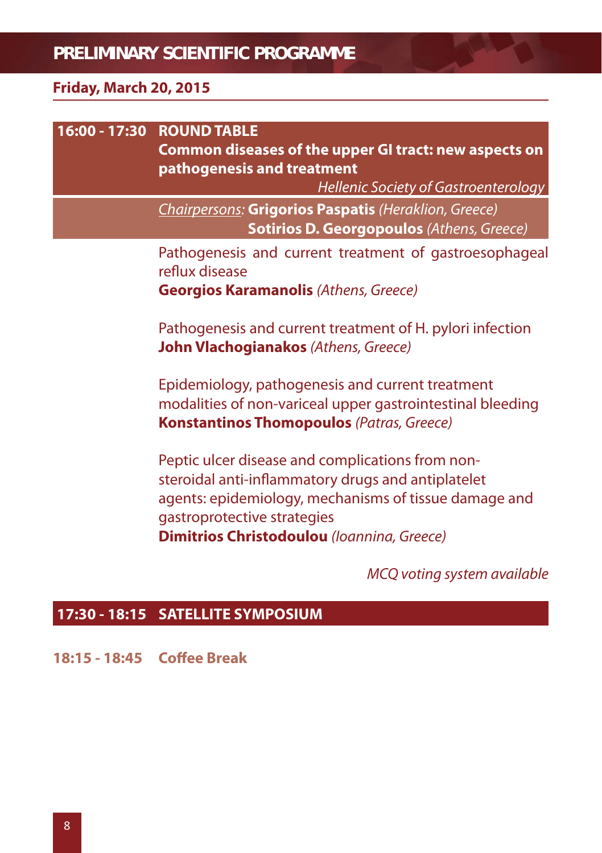#### **Friday, March 20, 2015**

| 16:00 - 17:30 ROUND TABLE<br>Common diseases of the upper GI tract: new aspects on<br>pathogenesis and treatment<br>Hellenic Society of Gastroenterology                                                                                            |
|-----------------------------------------------------------------------------------------------------------------------------------------------------------------------------------------------------------------------------------------------------|
| Chairpersons: Grigorios Paspatis (Heraklion, Greece)<br><b>Sotirios D. Georgopoulos (Athens, Greece)</b>                                                                                                                                            |
| Pathogenesis and current treatment of gastroesophageal<br>reflux disease<br><b>Georgios Karamanolis</b> (Athens, Greece)                                                                                                                            |
| Pathogenesis and current treatment of H. pylori infection<br>John Vlachogianakos (Athens, Greece)                                                                                                                                                   |
| Epidemiology, pathogenesis and current treatment<br>modalities of non-variceal upper gastrointestinal bleeding<br><b>Konstantinos Thomopoulos</b> (Patras, Greece)                                                                                  |
| Peptic ulcer disease and complications from non-<br>steroidal anti-inflammatory drugs and antiplatelet<br>agents: epidemiology, mechanisms of tissue damage and<br>gastroprotective strategies<br><b>Dimitrios Christodoulou</b> (Ioannina, Greece) |

MCQ voting system available

#### **17:30 - 18:15 SATELLITE SYMPOSIUM**

**18:15 - 18:45 Coffee Break**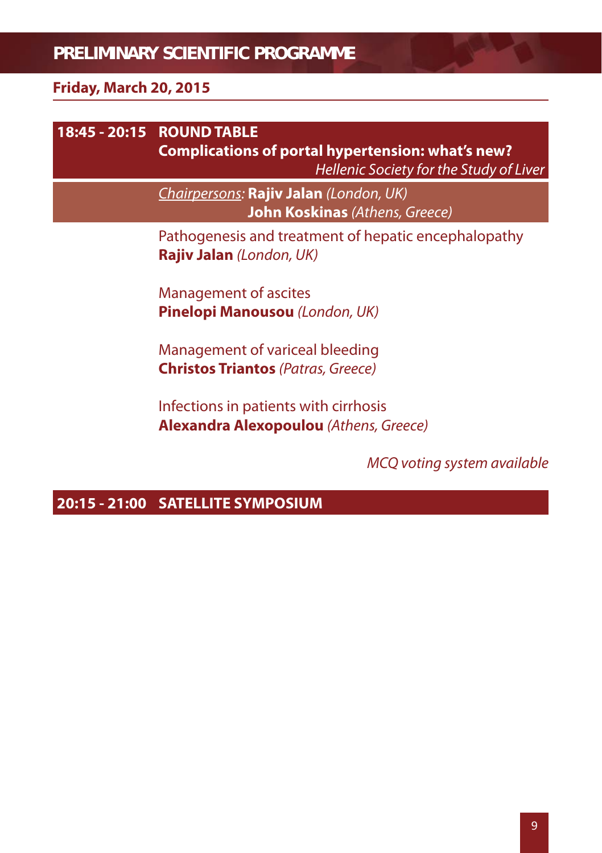#### **Friday, March 20, 2015**

### **18:45 - 20:15 ROUND TABLE Complications of portal hypertension: what's new?** Hellenic Society for the Study of Liver Chairpersons: **Rajiv Jalan** (London, UK)  **John Koskinas** (Athens, Greece) Pathogenesis and treatment of hepatic encephalopathy **Rajiv Jalan** (London, UK) Management of ascites **Pinelopi Manousou** (London, UK) Management of variceal bleeding **Christos Triantos** (Patras, Greece) Infections in patients with cirrhosis **Alexandra Alexopoulou** (Athens, Greece)

#### MCQ voting system available

#### **20:15 - 21:00 SATELLITE SYMPOSIUM**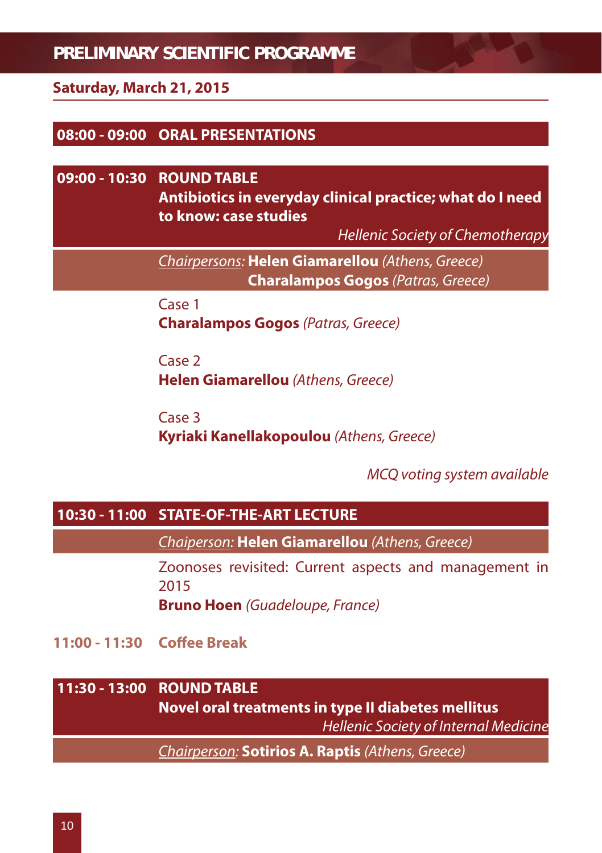#### **Saturday, March 21, 2015**

#### **08:00 - 09:00 ORAL PRESENTATIONS**

#### **09:00 - 10:30 ROUND TABLE**

 **Antibiotics in everyday clinical practice; what do I need to know: case studies**

Hellenic Society of Chemotherapy

Chairpersons: **Helen Giamarellou** (Athens, Greece)  **Charalampos Gogos** (Patras, Greece)

 Case 1 **Charalampos Gogos** (Patras, Greece)

 Case 2 **Helen Giamarellou** (Athens, Greece)

 Case 3 **Kyriaki Kanellakopoulou** (Athens, Greece)

MCQ voting system available

#### **10:30 - 11:00 STATE-OF-THE-ART LECTURE**

Chaiperson: **Helen Giamarellou** (Athens, Greece)

 Zoonoses revisited: Current aspects and management in 2015

**Bruno Hoen** (Guadeloupe, France)

**11:00 - 11:30 Coff ee Break**

#### **11:30 - 13:00 ROUND TABLE**

 **Novel oral treatments in type II diabetes mellitus** Hellenic Society of Internal Medicine

Chairperson: **Sotirios A. Raptis** (Athens, Greece)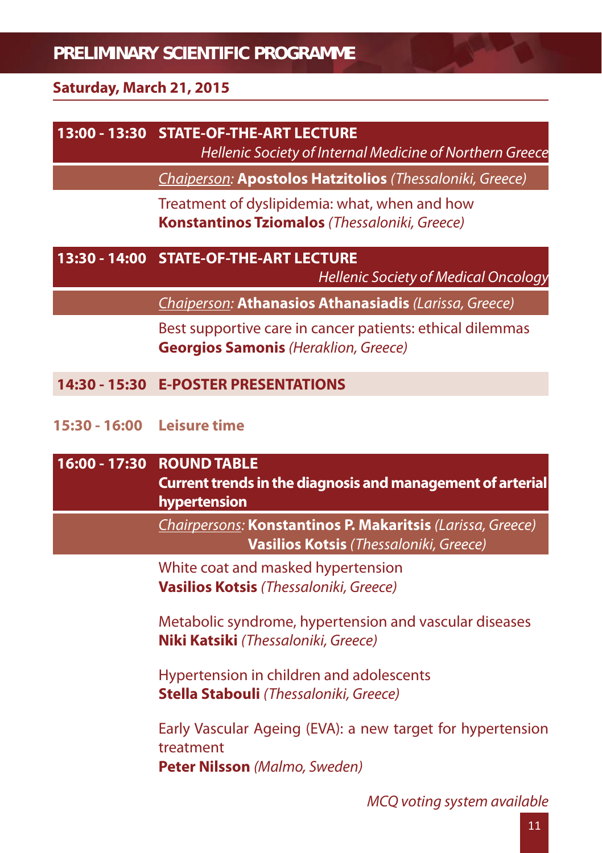#### **Saturday, March 21, 2015**

#### **13:00 - 13:30 STATE-OF-THE-ART LECTURE**

Hellenic Society of Internal Medicine of Northern Greece

Chaiperson: **Apostolos Hatzitolios** (Thessaloniki, Greece)

Treatment of dyslipidemia: what, when and how  **Konstantinos Tziomalos** (Thessaloniki, Greece)

#### **13:30 - 14:00 STATE-OF-THE-ART LECTURE**

Hellenic Society of Medical Oncology

Chaiperson: **Athanasios Athanasiadis** (Larissa, Greece)

 Best supportive care in cancer patients: ethical dilemmas  **Georgios Samonis** (Heraklion, Greece)

#### **14:30 - 15:30 E-POSTER PRESENTATIONS**

#### **15:30 - 16:00 Leisure time**

| 16:00 - 17:30 ROUND TABLE<br><b>Current trends in the diagnosis and management of arterial</b><br>hypertension  |
|-----------------------------------------------------------------------------------------------------------------|
| Chairpersons: Konstantinos P. Makaritsis (Larissa, Greece)<br>Vasilios Kotsis (Thessaloniki, Greece)            |
| White coat and masked hypertension<br>Vasilios Kotsis (Thessaloniki, Greece)                                    |
| Metabolic syndrome, hypertension and vascular diseases<br><b>Niki Katsiki</b> (Thessaloniki, Greece)            |
| Hypertension in children and adolescents<br><b>Stella Stabouli</b> (Thessaloniki, Greece)                       |
| Early Vascular Ageing (EVA): a new target for hypertension<br>treatment<br><b>Peter Nilsson</b> (Malmo, Sweden) |
|                                                                                                                 |

MCQ voting system available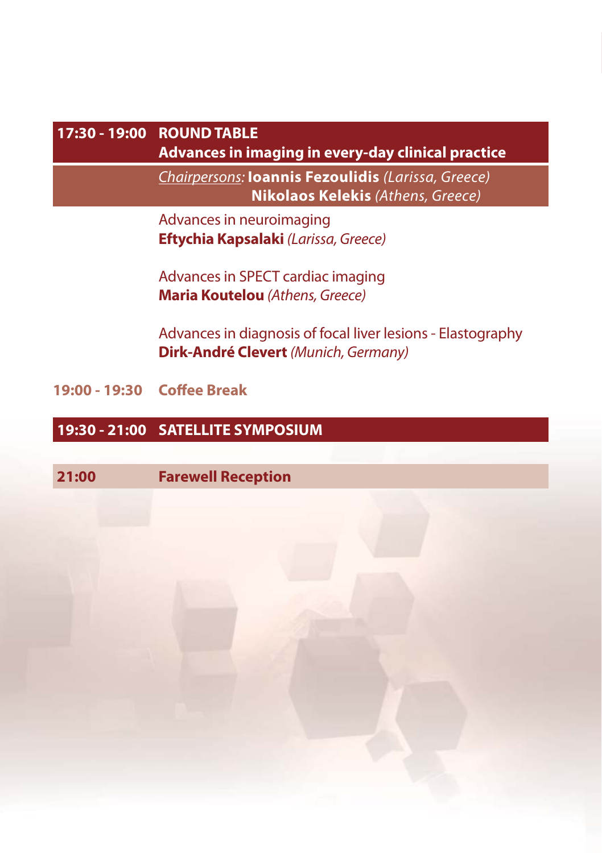### **17:30 - 19:00 ROUND TABLE**

**Advances in imaging in every-day clinical practice**

Chairpersons: **Ioannis Fezoulidis** (Larissa, Greece)  **Nikolaos Kelekis** (Athens, Greece)

 Advances in neuroimaging **Eftychia Kapsalaki** (Larissa, Greece)

 Advances in SPECT cardiac imaging **Maria Koutelou** (Athens, Greece)

 Advances in diagnosis of focal liver lesions - Elastography **Dirk-André Clevert** (Munich, Germany)

**19:00 - 19:30 Coff ee Break**

#### **19:30 - 21:00 SATELLITE SYMPOSIUM**

**21:00 Farewell Reception**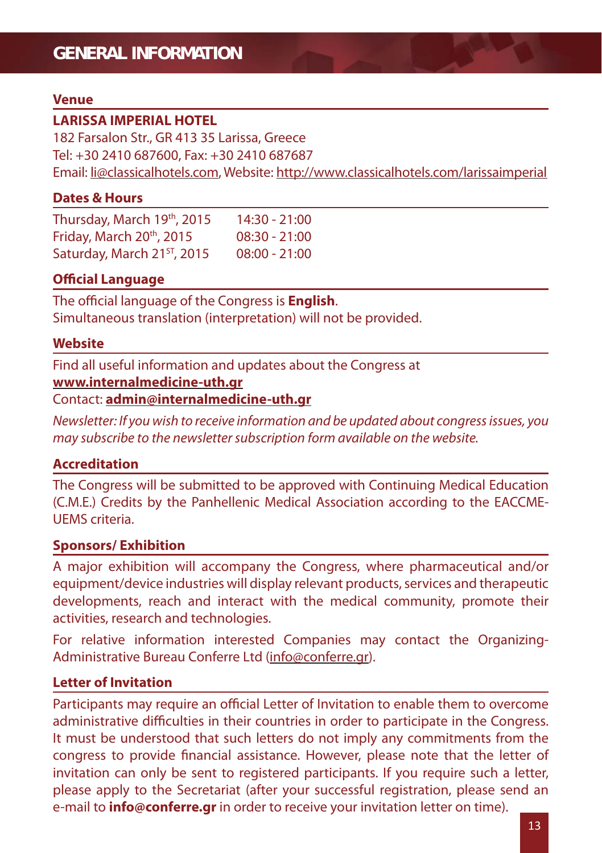#### **Venue**

#### **LARISSA IMPERIAL HOTEL**

182 Farsalon Str., GR 413 35 Larissa, Greece Tel: +30 2410 687600, Fax: +30 2410 687687 Email: li@classicalhotels.com, Website: http://www.classicalhotels.com/larissaimperial

#### **Dates & Hours**

Thursday, March 19th, 2015 14:30 - 21:00 Friday, March 20th, 2015 08:30 - 21:00 Saturday, March 21<sup>st</sup>, 2015 08:00 - 21:00

#### **Official Language**

The official language of the Congress is **English**. Simultaneous translation (interpretation) will not be provided.

#### **Website**

Find all useful information and updates about the Congress at **www.internalmedicine-uth.gr** Contact: **admin@internalmedicine-uth.gr** 

Newsletter: If you wish to receive information and be updated about congress issues, you may subscribe to the newsletter subscription form available on the website.

#### **Accreditation**

The Congress will be submitted to be approved with Continuing Medical Education (C.M.E.) Credits by the Panhellenic Medical Association according to the EACCME-UEMS criteria.

#### **Sponsors/ Exhibition**

A major exhibition will accompany the Congress, where pharmaceutical and/or equipment/device industries will display relevant products, services and therapeutic developments, reach and interact with the medical community, promote their activities, research and technologies.

For relative information interested Companies may contact the Organizing-Administrative Bureau Conferre Ltd (info@conferre.gr).

#### **Letter of Invitation**

Participants may require an official Letter of Invitation to enable them to overcome administrative difficulties in their countries in order to participate in the Congress. It must be understood that such letters do not imply any commitments from the congress to provide financial assistance. However, please note that the letter of invitation can only be sent to registered participants. If you require such a letter, please apply to the Secretariat (after your successful registration, please send an e-mail to **info@conferre.gr** in order to receive your invitation letter on time).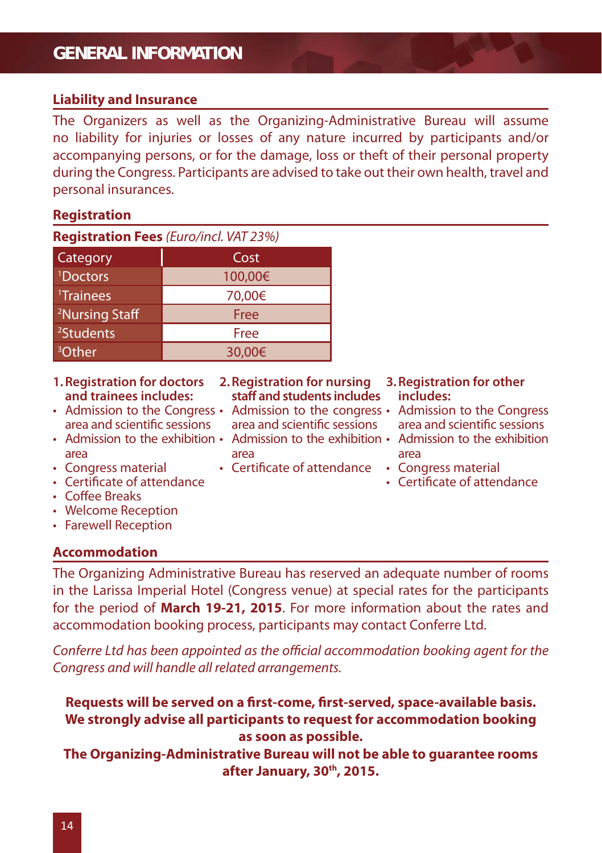#### **GENERAL INFORMATION**

#### **Liability and Insurance**

The Organizers as well as the Organizing-Administrative Bureau will assume no liability for injuries or losses of any nature incurred by participants and/or accompanying persons, or for the damage, loss or theft of their personal property during the Congress. Participants are advised to take out their own health, travel and personal insurances.

#### **Registration**

**Registration Fees** (Euro/incl. VAT 23%)

| Category                   | Cost    |
|----------------------------|---------|
| <sup>1</sup> Doctors       | 100,00€ |
| <sup>1</sup> Trainees      | 70,00€  |
| <sup>2</sup> Nursing Staff | Free    |
| <sup>2</sup> Students      | Free    |
| <sup>3</sup> Other         | 30,00€  |

- **1. Registration for doctors and trainees includes:**
- area and scientific sessions
- Admission to the exhibition Admission to the exhibition Admission to the exhibition area
- Congress material
- Certificate of attendance
- Coffee Breaks
- Welcome Reception
- Farewell Reception

#### **Accommodation**

**2. Registration for nursing staff and students includes**

- area and scientific sessions
- area
- Certificate of attendance Congress material
- **3. Registration for other includes:**
- Admission to the Congress Admission to the congress Admission to the Congress area and scientific sessions
	- area
	-
	- Certificate of attendance

The Organizing Administrative Bureau has reserved an adequate number of rooms in the Larissa Imperial Hotel (Congress venue) at special rates for the participants for the period of **March 19-21, 2015**. For more information about the rates and accommodation booking process, participants may contact Conferre Ltd.

Conferre Ltd has been appointed as the official accommodation booking agent for the Congress and will handle all related arrangements.

Requests will be served on a first-come, first-served, space-available basis. **We strongly advise all participants to request for accommodation booking as soon as possible.**

**The Organizing-Administrative Bureau will not be able to guarantee rooms after January, 30th, 2015.**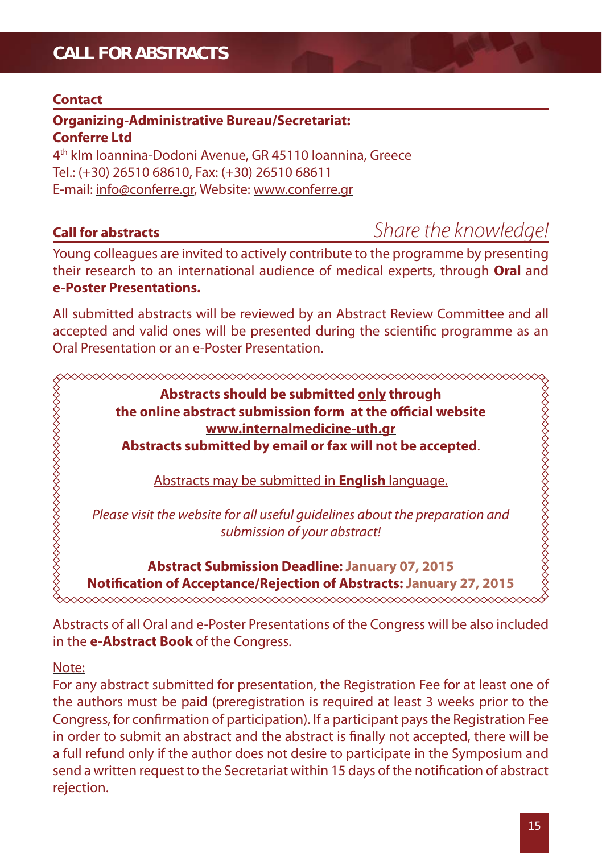### **CALL FOR ABSTRACTS**

#### **Contact**

#### **Organizing-Administrative Bureau/Secretariat: Conferre Ltd**  4th klm Ioannina-Dodoni Avenue, GR 45110 Ioannina, Greece

Tel.: (+30) 26510 68610, Fax: (+30) 26510 68611

E-mail: info@conferre.gr, Website: www.conferre.gr

### **Call for abstracts** *Share the knowledge!*

Young colleagues are invited to actively contribute to the programme by presenting their research to an international audience of medical experts, through **Oral** and **e-Poster Presentations.**

All submitted abstracts will be reviewed by an Abstract Review Committee and all accepted and valid ones will be presented during the scientific programme as an Oral Presentation or an e-Poster Presentation.

**Abstracts should be submitted only through the online abstract submission form at the official website www.internalmedicine-uth.gr Abstracts submitted by email or fax will not be accepted**.

Abstracts may be submitted in **English** language.

Please visit the website for all useful guidelines about the preparation and submission of your abstract!

**Abstract Submission Deadline: January 07, 2015 Notifi cation of Acceptance/Rejection of Abstracts: January 27, 2015** 

Abstracts of all Oral and e-Poster Presentations of the Congress will be also included in the **e-Abstract Book** of the Congress.

#### Note:

,,,,,,,,,,,,,,,,,,,,,,,,,,,,,,,,,,,

For any abstract submitted for presentation, the Registration Fee for at least one of the authors must be paid (preregistration is required at least 3 weeks prior to the Congress, for confirmation of participation). If a participant pays the Registration Fee in order to submit an abstract and the abstract is finally not accepted, there will be a full refund only if the author does not desire to participate in the Symposium and send a written request to the Secretariat within 15 days of the notification of abstract rejection.

**\$\$\$\$\$\$\$\$\$\$\$\$\$\$\$\$\$\$\$\$\$\$\$\$\$\$\$\$**